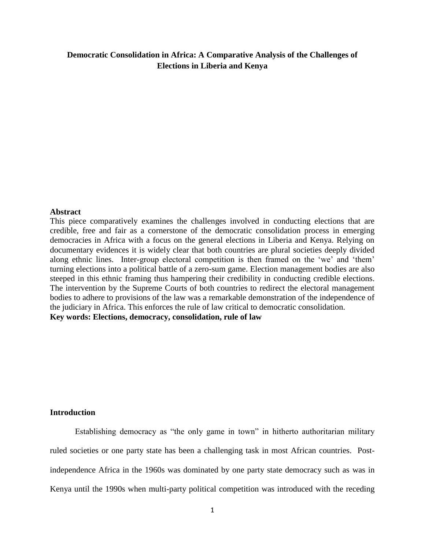# **Democratic Consolidation in Africa: A Comparative Analysis of the Challenges of Elections in Liberia and Kenya**

#### **Abstract**

This piece comparatively examines the challenges involved in conducting elections that are credible, free and fair as a cornerstone of the democratic consolidation process in emerging democracies in Africa with a focus on the general elections in Liberia and Kenya. Relying on documentary evidences it is widely clear that both countries are plural societies deeply divided along ethnic lines. Inter-group electoral competition is then framed on the 'we' and 'them' turning elections into a political battle of a zero-sum game. Election management bodies are also steeped in this ethnic framing thus hampering their credibility in conducting credible elections. The intervention by the Supreme Courts of both countries to redirect the electoral management bodies to adhere to provisions of the law was a remarkable demonstration of the independence of the judiciary in Africa. This enforces the rule of law critical to democratic consolidation. **Key words: Elections, democracy, consolidation, rule of law**

# **Introduction**

Establishing democracy as "the only game in town" in hitherto authoritarian military ruled societies or one party state has been a challenging task in most African countries. Postindependence Africa in the 1960s was dominated by one party state democracy such as was in Kenya until the 1990s when multi-party political competition was introduced with the receding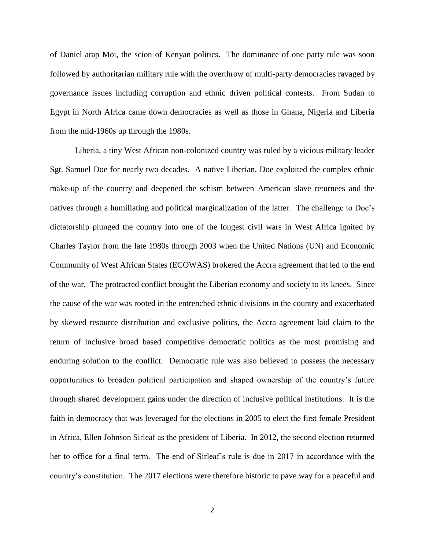of Daniel arap Moi, the scion of Kenyan politics. The dominance of one party rule was soon followed by authoritarian military rule with the overthrow of multi-party democracies ravaged by governance issues including corruption and ethnic driven political contests. From Sudan to Egypt in North Africa came down democracies as well as those in Ghana, Nigeria and Liberia from the mid-1960s up through the 1980s.

Liberia, a tiny West African non-colonized country was ruled by a vicious military leader Sgt. Samuel Doe for nearly two decades. A native Liberian, Doe exploited the complex ethnic make-up of the country and deepened the schism between American slave returnees and the natives through a humiliating and political marginalization of the latter. The challenge to Doe"s dictatorship plunged the country into one of the longest civil wars in West Africa ignited by Charles Taylor from the late 1980s through 2003 when the United Nations (UN) and Economic Community of West African States (ECOWAS) brokered the Accra agreement that led to the end of the war. The protracted conflict brought the Liberian economy and society to its knees. Since the cause of the war was rooted in the entrenched ethnic divisions in the country and exacerbated by skewed resource distribution and exclusive politics, the Accra agreement laid claim to the return of inclusive broad based competitive democratic politics as the most promising and enduring solution to the conflict. Democratic rule was also believed to possess the necessary opportunities to broaden political participation and shaped ownership of the country"s future through shared development gains under the direction of inclusive political institutions. It is the faith in democracy that was leveraged for the elections in 2005 to elect the first female President in Africa, Ellen Johnson Sirleaf as the president of Liberia. In 2012, the second election returned her to office for a final term. The end of Sirleaf's rule is due in 2017 in accordance with the country"s constitution. The 2017 elections were therefore historic to pave way for a peaceful and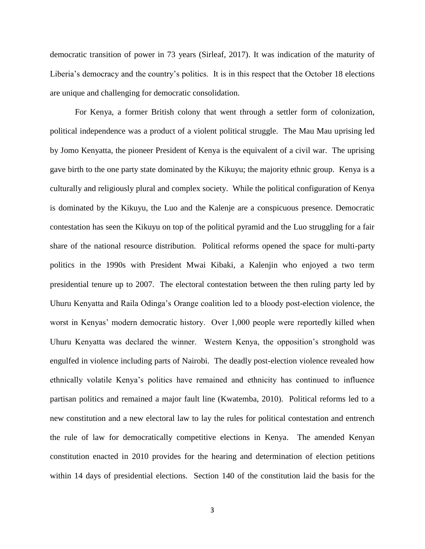democratic transition of power in 73 years (Sirleaf, 2017). It was indication of the maturity of Liberia's democracy and the country's politics. It is in this respect that the October 18 elections are unique and challenging for democratic consolidation.

For Kenya, a former British colony that went through a settler form of colonization, political independence was a product of a violent political struggle. The Mau Mau uprising led by Jomo Kenyatta, the pioneer President of Kenya is the equivalent of a civil war. The uprising gave birth to the one party state dominated by the Kikuyu; the majority ethnic group. Kenya is a culturally and religiously plural and complex society. While the political configuration of Kenya is dominated by the Kikuyu, the Luo and the Kalenje are a conspicuous presence. Democratic contestation has seen the Kikuyu on top of the political pyramid and the Luo struggling for a fair share of the national resource distribution. Political reforms opened the space for multi-party politics in the 1990s with President Mwai Kibaki, a Kalenjin who enjoyed a two term presidential tenure up to 2007. The electoral contestation between the then ruling party led by Uhuru Kenyatta and Raila Odinga"s Orange coalition led to a bloody post-election violence, the worst in Kenyas" modern democratic history. Over 1,000 people were reportedly killed when Uhuru Kenyatta was declared the winner. Western Kenya, the opposition"s stronghold was engulfed in violence including parts of Nairobi. The deadly post-election violence revealed how ethnically volatile Kenya"s politics have remained and ethnicity has continued to influence partisan politics and remained a major fault line (Kwatemba, 2010). Political reforms led to a new constitution and a new electoral law to lay the rules for political contestation and entrench the rule of law for democratically competitive elections in Kenya. The amended Kenyan constitution enacted in 2010 provides for the hearing and determination of election petitions within 14 days of presidential elections. Section 140 of the constitution laid the basis for the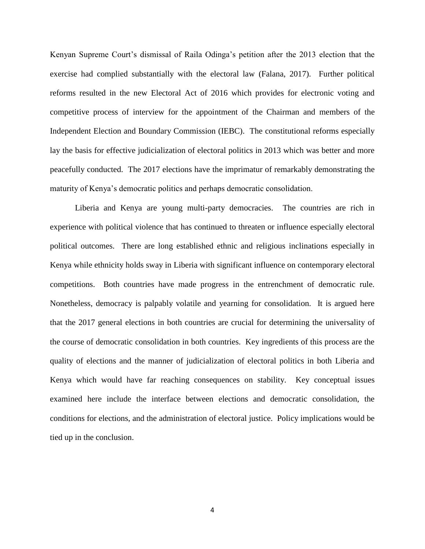Kenyan Supreme Court's dismissal of Raila Odinga's petition after the 2013 election that the exercise had complied substantially with the electoral law (Falana, 2017). Further political reforms resulted in the new Electoral Act of 2016 which provides for electronic voting and competitive process of interview for the appointment of the Chairman and members of the Independent Election and Boundary Commission (IEBC). The constitutional reforms especially lay the basis for effective judicialization of electoral politics in 2013 which was better and more peacefully conducted. The 2017 elections have the imprimatur of remarkably demonstrating the maturity of Kenya"s democratic politics and perhaps democratic consolidation.

Liberia and Kenya are young multi-party democracies. The countries are rich in experience with political violence that has continued to threaten or influence especially electoral political outcomes. There are long established ethnic and religious inclinations especially in Kenya while ethnicity holds sway in Liberia with significant influence on contemporary electoral competitions. Both countries have made progress in the entrenchment of democratic rule. Nonetheless, democracy is palpably volatile and yearning for consolidation. It is argued here that the 2017 general elections in both countries are crucial for determining the universality of the course of democratic consolidation in both countries. Key ingredients of this process are the quality of elections and the manner of judicialization of electoral politics in both Liberia and Kenya which would have far reaching consequences on stability. Key conceptual issues examined here include the interface between elections and democratic consolidation, the conditions for elections, and the administration of electoral justice. Policy implications would be tied up in the conclusion.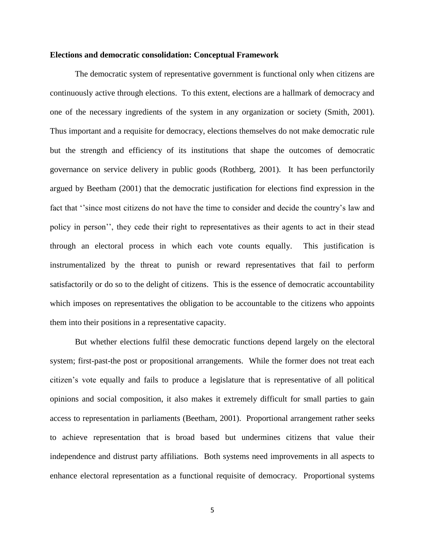### **Elections and democratic consolidation: Conceptual Framework**

The democratic system of representative government is functional only when citizens are continuously active through elections. To this extent, elections are a hallmark of democracy and one of the necessary ingredients of the system in any organization or society (Smith, 2001). Thus important and a requisite for democracy, elections themselves do not make democratic rule but the strength and efficiency of its institutions that shape the outcomes of democratic governance on service delivery in public goods (Rothberg, 2001). It has been perfunctorily argued by Beetham (2001) that the democratic justification for elections find expression in the fact that "since most citizens do not have the time to consider and decide the country's law and policy in person"", they cede their right to representatives as their agents to act in their stead through an electoral process in which each vote counts equally. This justification is instrumentalized by the threat to punish or reward representatives that fail to perform satisfactorily or do so to the delight of citizens. This is the essence of democratic accountability which imposes on representatives the obligation to be accountable to the citizens who appoints them into their positions in a representative capacity.

But whether elections fulfil these democratic functions depend largely on the electoral system; first-past-the post or propositional arrangements. While the former does not treat each citizen"s vote equally and fails to produce a legislature that is representative of all political opinions and social composition, it also makes it extremely difficult for small parties to gain access to representation in parliaments (Beetham, 2001). Proportional arrangement rather seeks to achieve representation that is broad based but undermines citizens that value their independence and distrust party affiliations. Both systems need improvements in all aspects to enhance electoral representation as a functional requisite of democracy. Proportional systems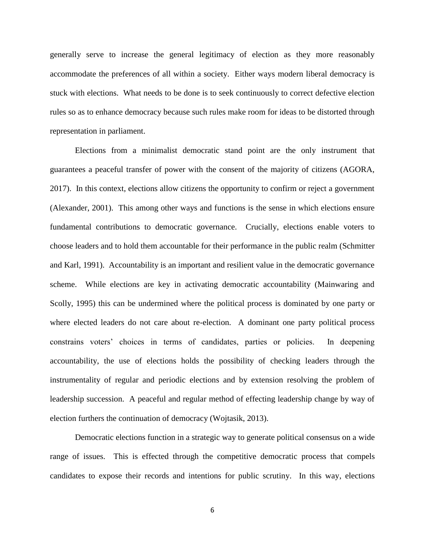generally serve to increase the general legitimacy of election as they more reasonably accommodate the preferences of all within a society. Either ways modern liberal democracy is stuck with elections. What needs to be done is to seek continuously to correct defective election rules so as to enhance democracy because such rules make room for ideas to be distorted through representation in parliament.

Elections from a minimalist democratic stand point are the only instrument that guarantees a peaceful transfer of power with the consent of the majority of citizens (AGORA, 2017). In this context, elections allow citizens the opportunity to confirm or reject a government (Alexander, 2001). This among other ways and functions is the sense in which elections ensure fundamental contributions to democratic governance. Crucially, elections enable voters to choose leaders and to hold them accountable for their performance in the public realm (Schmitter and Karl, 1991). Accountability is an important and resilient value in the democratic governance scheme. While elections are key in activating democratic accountability (Mainwaring and Scolly, 1995) this can be undermined where the political process is dominated by one party or where elected leaders do not care about re-election. A dominant one party political process constrains voters" choices in terms of candidates, parties or policies. In deepening accountability, the use of elections holds the possibility of checking leaders through the instrumentality of regular and periodic elections and by extension resolving the problem of leadership succession. A peaceful and regular method of effecting leadership change by way of election furthers the continuation of democracy (Wojtasik, 2013).

Democratic elections function in a strategic way to generate political consensus on a wide range of issues. This is effected through the competitive democratic process that compels candidates to expose their records and intentions for public scrutiny. In this way, elections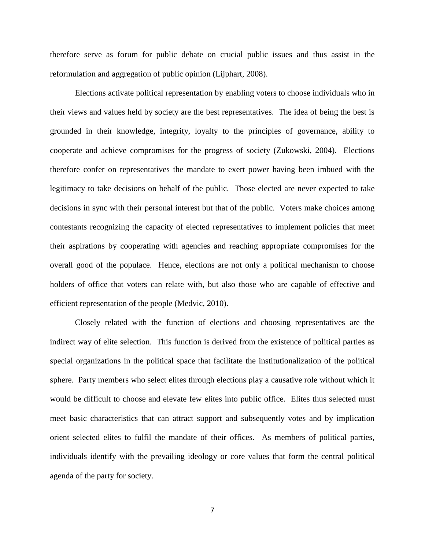therefore serve as forum for public debate on crucial public issues and thus assist in the reformulation and aggregation of public opinion (Lijphart, 2008).

Elections activate political representation by enabling voters to choose individuals who in their views and values held by society are the best representatives. The idea of being the best is grounded in their knowledge, integrity, loyalty to the principles of governance, ability to cooperate and achieve compromises for the progress of society (Zukowski, 2004). Elections therefore confer on representatives the mandate to exert power having been imbued with the legitimacy to take decisions on behalf of the public. Those elected are never expected to take decisions in sync with their personal interest but that of the public. Voters make choices among contestants recognizing the capacity of elected representatives to implement policies that meet their aspirations by cooperating with agencies and reaching appropriate compromises for the overall good of the populace. Hence, elections are not only a political mechanism to choose holders of office that voters can relate with, but also those who are capable of effective and efficient representation of the people (Medvic, 2010).

Closely related with the function of elections and choosing representatives are the indirect way of elite selection. This function is derived from the existence of political parties as special organizations in the political space that facilitate the institutionalization of the political sphere. Party members who select elites through elections play a causative role without which it would be difficult to choose and elevate few elites into public office. Elites thus selected must meet basic characteristics that can attract support and subsequently votes and by implication orient selected elites to fulfil the mandate of their offices. As members of political parties, individuals identify with the prevailing ideology or core values that form the central political agenda of the party for society.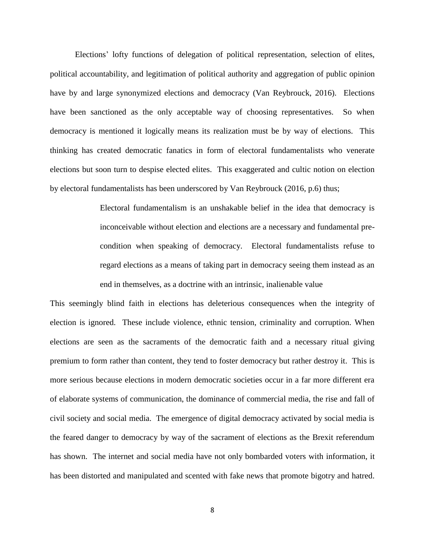Elections" lofty functions of delegation of political representation, selection of elites, political accountability, and legitimation of political authority and aggregation of public opinion have by and large synonymized elections and democracy (Van Reybrouck, 2016). Elections have been sanctioned as the only acceptable way of choosing representatives. So when democracy is mentioned it logically means its realization must be by way of elections. This thinking has created democratic fanatics in form of electoral fundamentalists who venerate elections but soon turn to despise elected elites. This exaggerated and cultic notion on election by electoral fundamentalists has been underscored by Van Reybrouck (2016, p.6) thus;

> Electoral fundamentalism is an unshakable belief in the idea that democracy is inconceivable without election and elections are a necessary and fundamental precondition when speaking of democracy. Electoral fundamentalists refuse to regard elections as a means of taking part in democracy seeing them instead as an end in themselves, as a doctrine with an intrinsic, inalienable value

This seemingly blind faith in elections has deleterious consequences when the integrity of election is ignored. These include violence, ethnic tension, criminality and corruption. When elections are seen as the sacraments of the democratic faith and a necessary ritual giving premium to form rather than content, they tend to foster democracy but rather destroy it. This is more serious because elections in modern democratic societies occur in a far more different era of elaborate systems of communication, the dominance of commercial media, the rise and fall of civil society and social media. The emergence of digital democracy activated by social media is the feared danger to democracy by way of the sacrament of elections as the Brexit referendum has shown. The internet and social media have not only bombarded voters with information, it has been distorted and manipulated and scented with fake news that promote bigotry and hatred.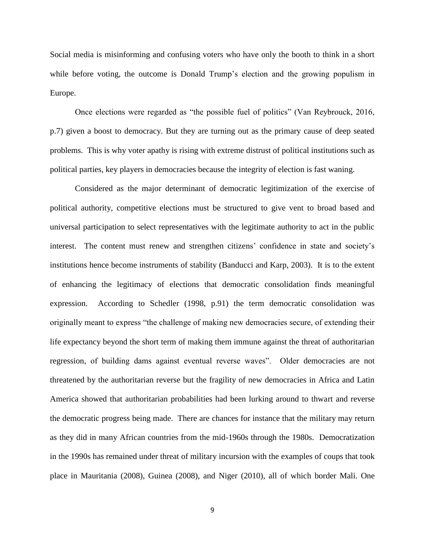Social media is misinforming and confusing voters who have only the booth to think in a short while before voting, the outcome is Donald Trump's election and the growing populism in Europe.

Once elections were regarded as "the possible fuel of politics" (Van Reybrouck, 2016, p.7) given a boost to democracy. But they are turning out as the primary cause of deep seated problems. This is why voter apathy is rising with extreme distrust of political institutions such as political parties, key players in democracies because the integrity of election is fast waning.

Considered as the major determinant of democratic legitimization of the exercise of political authority, competitive elections must be structured to give vent to broad based and universal participation to select representatives with the legitimate authority to act in the public interest. The content must renew and strengthen citizens' confidence in state and society's institutions hence become instruments of stability (Banducci and Karp, 2003). It is to the extent of enhancing the legitimacy of elections that democratic consolidation finds meaningful expression. According to Schedler (1998, p.91) the term democratic consolidation was originally meant to express "the challenge of making new democracies secure, of extending their life expectancy beyond the short term of making them immune against the threat of authoritarian regression, of building dams against eventual reverse waves". Older democracies are not threatened by the authoritarian reverse but the fragility of new democracies in Africa and Latin America showed that authoritarian probabilities had been lurking around to thwart and reverse the democratic progress being made. There are chances for instance that the military may return as they did in many African countries from the mid-1960s through the 1980s. Democratization in the 1990s has remained under threat of military incursion with the examples of coups that took place in Mauritania (2008), Guinea (2008), and Niger (2010), all of which border Mali. One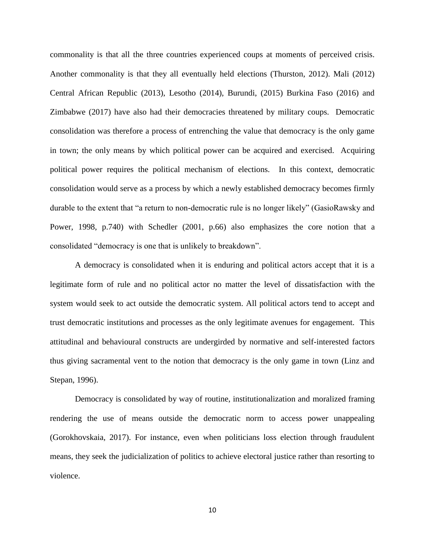commonality is that all the three countries experienced coups at moments of perceived crisis. Another commonality is that they all eventually held elections (Thurston, 2012). Mali (2012) Central African Republic (2013), Lesotho (2014), Burundi, (2015) Burkina Faso (2016) and Zimbabwe (2017) have also had their democracies threatened by military coups. Democratic consolidation was therefore a process of entrenching the value that democracy is the only game in town; the only means by which political power can be acquired and exercised. Acquiring political power requires the political mechanism of elections. In this context, democratic consolidation would serve as a process by which a newly established democracy becomes firmly durable to the extent that "a return to non-democratic rule is no longer likely" (GasioRawsky and Power, 1998, p.740) with Schedler (2001, p.66) also emphasizes the core notion that a consolidated "democracy is one that is unlikely to breakdown".

A democracy is consolidated when it is enduring and political actors accept that it is a legitimate form of rule and no political actor no matter the level of dissatisfaction with the system would seek to act outside the democratic system. All political actors tend to accept and trust democratic institutions and processes as the only legitimate avenues for engagement. This attitudinal and behavioural constructs are undergirded by normative and self-interested factors thus giving sacramental vent to the notion that democracy is the only game in town (Linz and Stepan, 1996).

Democracy is consolidated by way of routine, institutionalization and moralized framing rendering the use of means outside the democratic norm to access power unappealing (Gorokhovskaia, 2017). For instance, even when politicians loss election through fraudulent means, they seek the judicialization of politics to achieve electoral justice rather than resorting to violence.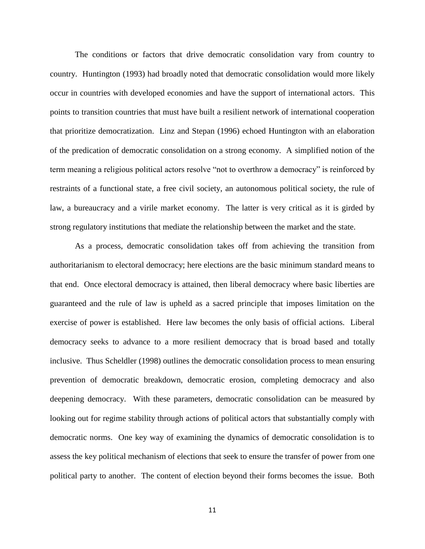The conditions or factors that drive democratic consolidation vary from country to country. Huntington (1993) had broadly noted that democratic consolidation would more likely occur in countries with developed economies and have the support of international actors. This points to transition countries that must have built a resilient network of international cooperation that prioritize democratization. Linz and Stepan (1996) echoed Huntington with an elaboration of the predication of democratic consolidation on a strong economy. A simplified notion of the term meaning a religious political actors resolve "not to overthrow a democracy" is reinforced by restraints of a functional state, a free civil society, an autonomous political society, the rule of law, a bureaucracy and a virile market economy. The latter is very critical as it is girded by strong regulatory institutions that mediate the relationship between the market and the state.

As a process, democratic consolidation takes off from achieving the transition from authoritarianism to electoral democracy; here elections are the basic minimum standard means to that end. Once electoral democracy is attained, then liberal democracy where basic liberties are guaranteed and the rule of law is upheld as a sacred principle that imposes limitation on the exercise of power is established. Here law becomes the only basis of official actions. Liberal democracy seeks to advance to a more resilient democracy that is broad based and totally inclusive. Thus Scheldler (1998) outlines the democratic consolidation process to mean ensuring prevention of democratic breakdown, democratic erosion, completing democracy and also deepening democracy. With these parameters, democratic consolidation can be measured by looking out for regime stability through actions of political actors that substantially comply with democratic norms. One key way of examining the dynamics of democratic consolidation is to assess the key political mechanism of elections that seek to ensure the transfer of power from one political party to another. The content of election beyond their forms becomes the issue. Both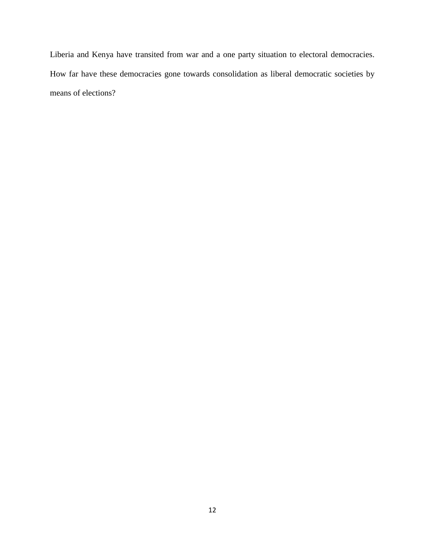Liberia and Kenya have transited from war and a one party situation to electoral democracies. How far have these democracies gone towards consolidation as liberal democratic societies by means of elections?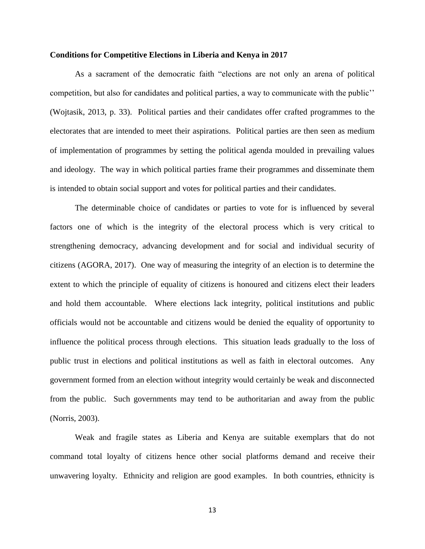### **Conditions for Competitive Elections in Liberia and Kenya in 2017**

As a sacrament of the democratic faith "elections are not only an arena of political competition, but also for candidates and political parties, a way to communicate with the public"" (Wojtasik, 2013, p. 33). Political parties and their candidates offer crafted programmes to the electorates that are intended to meet their aspirations. Political parties are then seen as medium of implementation of programmes by setting the political agenda moulded in prevailing values and ideology. The way in which political parties frame their programmes and disseminate them is intended to obtain social support and votes for political parties and their candidates.

The determinable choice of candidates or parties to vote for is influenced by several factors one of which is the integrity of the electoral process which is very critical to strengthening democracy, advancing development and for social and individual security of citizens (AGORA, 2017). One way of measuring the integrity of an election is to determine the extent to which the principle of equality of citizens is honoured and citizens elect their leaders and hold them accountable. Where elections lack integrity, political institutions and public officials would not be accountable and citizens would be denied the equality of opportunity to influence the political process through elections. This situation leads gradually to the loss of public trust in elections and political institutions as well as faith in electoral outcomes. Any government formed from an election without integrity would certainly be weak and disconnected from the public. Such governments may tend to be authoritarian and away from the public (Norris, 2003).

Weak and fragile states as Liberia and Kenya are suitable exemplars that do not command total loyalty of citizens hence other social platforms demand and receive their unwavering loyalty. Ethnicity and religion are good examples. In both countries, ethnicity is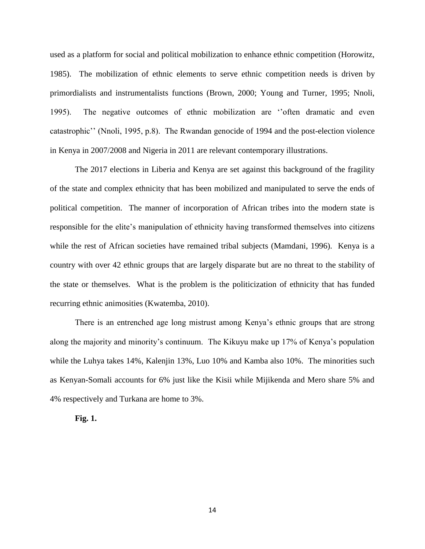used as a platform for social and political mobilization to enhance ethnic competition (Horowitz, 1985). The mobilization of ethnic elements to serve ethnic competition needs is driven by primordialists and instrumentalists functions (Brown, 2000; Young and Turner, 1995; Nnoli, 1995). The negative outcomes of ethnic mobilization are "often dramatic and even catastrophic"" (Nnoli, 1995, p.8). The Rwandan genocide of 1994 and the post-election violence in Kenya in 2007/2008 and Nigeria in 2011 are relevant contemporary illustrations.

The 2017 elections in Liberia and Kenya are set against this background of the fragility of the state and complex ethnicity that has been mobilized and manipulated to serve the ends of political competition. The manner of incorporation of African tribes into the modern state is responsible for the elite"s manipulation of ethnicity having transformed themselves into citizens while the rest of African societies have remained tribal subjects (Mamdani, 1996). Kenya is a country with over 42 ethnic groups that are largely disparate but are no threat to the stability of the state or themselves. What is the problem is the politicization of ethnicity that has funded recurring ethnic animosities (Kwatemba, 2010).

There is an entrenched age long mistrust among Kenya's ethnic groups that are strong along the majority and minority"s continuum. The Kikuyu make up 17% of Kenya"s population while the Luhya takes 14%, Kalenjin 13%, Luo 10% and Kamba also 10%. The minorities such as Kenyan-Somali accounts for 6% just like the Kisii while Mijikenda and Mero share 5% and 4% respectively and Turkana are home to 3%.

#### **Fig. 1.**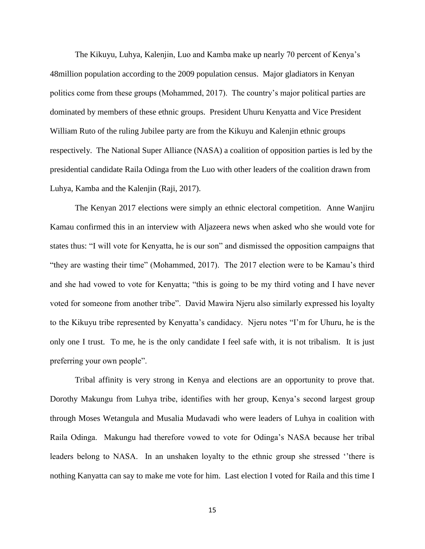The Kikuyu, Luhya, Kalenjin, Luo and Kamba make up nearly 70 percent of Kenya"s 48million population according to the 2009 population census. Major gladiators in Kenyan politics come from these groups (Mohammed, 2017). The country"s major political parties are dominated by members of these ethnic groups. President Uhuru Kenyatta and Vice President William Ruto of the ruling Jubilee party are from the Kikuyu and Kalenjin ethnic groups respectively. The National Super Alliance (NASA) a coalition of opposition parties is led by the presidential candidate Raila Odinga from the Luo with other leaders of the coalition drawn from Luhya, Kamba and the Kalenjin (Raji, 2017).

The Kenyan 2017 elections were simply an ethnic electoral competition. Anne Wanjiru Kamau confirmed this in an interview with Aljazeera news when asked who she would vote for states thus: "I will vote for Kenyatta, he is our son" and dismissed the opposition campaigns that "they are wasting their time" (Mohammed, 2017). The 2017 election were to be Kamau's third and she had vowed to vote for Kenyatta; "this is going to be my third voting and I have never voted for someone from another tribe". David Mawira Njeru also similarly expressed his loyalty to the Kikuyu tribe represented by Kenyatta"s candidacy. Njeru notes "I"m for Uhuru, he is the only one I trust. To me, he is the only candidate I feel safe with, it is not tribalism. It is just preferring your own people".

Tribal affinity is very strong in Kenya and elections are an opportunity to prove that. Dorothy Makungu from Luhya tribe, identifies with her group, Kenya"s second largest group through Moses Wetangula and Musalia Mudavadi who were leaders of Luhya in coalition with Raila Odinga. Makungu had therefore vowed to vote for Odinga"s NASA because her tribal leaders belong to NASA. In an unshaken loyalty to the ethnic group she stressed "there is nothing Kanyatta can say to make me vote for him. Last election I voted for Raila and this time I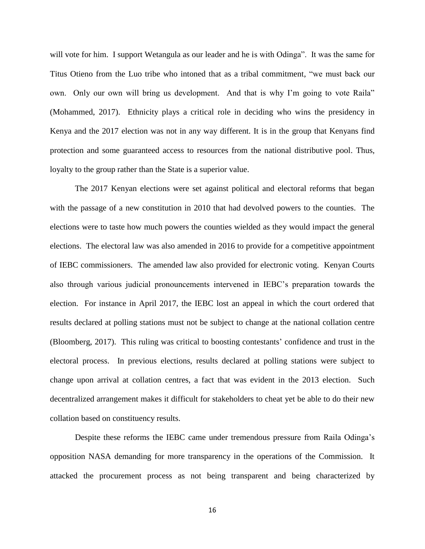will vote for him. I support Wetangula as our leader and he is with Odinga". It was the same for Titus Otieno from the Luo tribe who intoned that as a tribal commitment, "we must back our own. Only our own will bring us development. And that is why I"m going to vote Raila" (Mohammed, 2017). Ethnicity plays a critical role in deciding who wins the presidency in Kenya and the 2017 election was not in any way different. It is in the group that Kenyans find protection and some guaranteed access to resources from the national distributive pool. Thus, loyalty to the group rather than the State is a superior value.

The 2017 Kenyan elections were set against political and electoral reforms that began with the passage of a new constitution in 2010 that had devolved powers to the counties. The elections were to taste how much powers the counties wielded as they would impact the general elections. The electoral law was also amended in 2016 to provide for a competitive appointment of IEBC commissioners. The amended law also provided for electronic voting. Kenyan Courts also through various judicial pronouncements intervened in IEBC"s preparation towards the election. For instance in April 2017, the IEBC lost an appeal in which the court ordered that results declared at polling stations must not be subject to change at the national collation centre (Bloomberg, 2017). This ruling was critical to boosting contestants" confidence and trust in the electoral process. In previous elections, results declared at polling stations were subject to change upon arrival at collation centres, a fact that was evident in the 2013 election. Such decentralized arrangement makes it difficult for stakeholders to cheat yet be able to do their new collation based on constituency results.

Despite these reforms the IEBC came under tremendous pressure from Raila Odinga"s opposition NASA demanding for more transparency in the operations of the Commission. It attacked the procurement process as not being transparent and being characterized by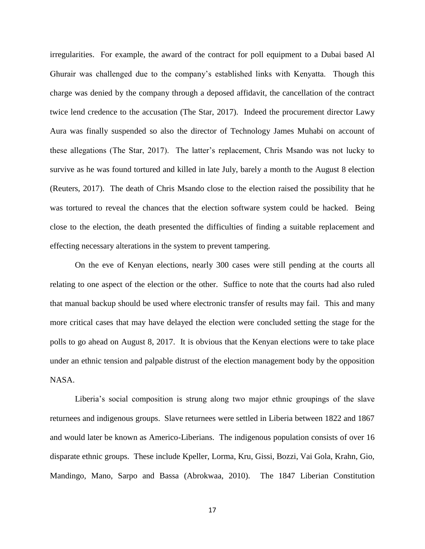irregularities. For example, the award of the contract for poll equipment to a Dubai based Al Ghurair was challenged due to the company"s established links with Kenyatta. Though this charge was denied by the company through a deposed affidavit, the cancellation of the contract twice lend credence to the accusation (The Star, 2017). Indeed the procurement director Lawy Aura was finally suspended so also the director of Technology James Muhabi on account of these allegations (The Star, 2017). The latter"s replacement, Chris Msando was not lucky to survive as he was found tortured and killed in late July, barely a month to the August 8 election (Reuters, 2017). The death of Chris Msando close to the election raised the possibility that he was tortured to reveal the chances that the election software system could be hacked. Being close to the election, the death presented the difficulties of finding a suitable replacement and effecting necessary alterations in the system to prevent tampering.

On the eve of Kenyan elections, nearly 300 cases were still pending at the courts all relating to one aspect of the election or the other. Suffice to note that the courts had also ruled that manual backup should be used where electronic transfer of results may fail. This and many more critical cases that may have delayed the election were concluded setting the stage for the polls to go ahead on August 8, 2017. It is obvious that the Kenyan elections were to take place under an ethnic tension and palpable distrust of the election management body by the opposition NASA.

Liberia"s social composition is strung along two major ethnic groupings of the slave returnees and indigenous groups. Slave returnees were settled in Liberia between 1822 and 1867 and would later be known as Americo-Liberians. The indigenous population consists of over 16 disparate ethnic groups. These include Kpeller, Lorma, Kru, Gissi, Bozzi, Vai Gola, Krahn, Gio, Mandingo, Mano, Sarpo and Bassa (Abrokwaa, 2010). The 1847 Liberian Constitution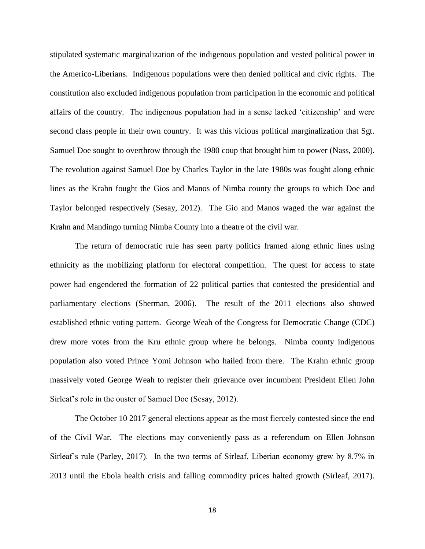stipulated systematic marginalization of the indigenous population and vested political power in the Americo-Liberians. Indigenous populations were then denied political and civic rights. The constitution also excluded indigenous population from participation in the economic and political affairs of the country. The indigenous population had in a sense lacked "citizenship" and were second class people in their own country. It was this vicious political marginalization that Sgt. Samuel Doe sought to overthrow through the 1980 coup that brought him to power (Nass, 2000). The revolution against Samuel Doe by Charles Taylor in the late 1980s was fought along ethnic lines as the Krahn fought the Gios and Manos of Nimba county the groups to which Doe and Taylor belonged respectively (Sesay, 2012). The Gio and Manos waged the war against the Krahn and Mandingo turning Nimba County into a theatre of the civil war.

The return of democratic rule has seen party politics framed along ethnic lines using ethnicity as the mobilizing platform for electoral competition. The quest for access to state power had engendered the formation of 22 political parties that contested the presidential and parliamentary elections (Sherman, 2006). The result of the 2011 elections also showed established ethnic voting pattern. George Weah of the Congress for Democratic Change (CDC) drew more votes from the Kru ethnic group where he belongs. Nimba county indigenous population also voted Prince Yomi Johnson who hailed from there. The Krahn ethnic group massively voted George Weah to register their grievance over incumbent President Ellen John Sirleaf's role in the ouster of Samuel Doe (Sesay, 2012).

The October 10 2017 general elections appear as the most fiercely contested since the end of the Civil War. The elections may conveniently pass as a referendum on Ellen Johnson Sirleaf's rule (Parley, 2017). In the two terms of Sirleaf, Liberian economy grew by 8.7% in 2013 until the Ebola health crisis and falling commodity prices halted growth (Sirleaf, 2017).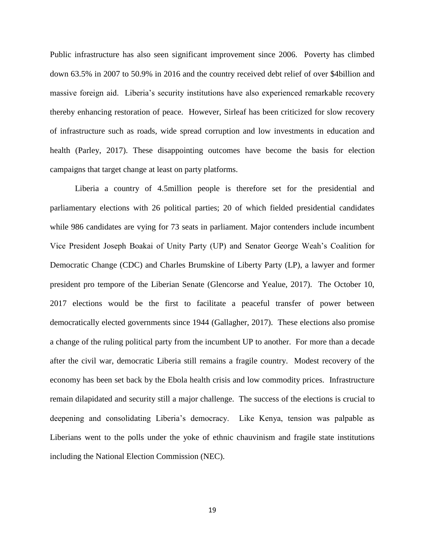Public infrastructure has also seen significant improvement since 2006. Poverty has climbed down 63.5% in 2007 to 50.9% in 2016 and the country received debt relief of over \$4billion and massive foreign aid. Liberia"s security institutions have also experienced remarkable recovery thereby enhancing restoration of peace. However, Sirleaf has been criticized for slow recovery of infrastructure such as roads, wide spread corruption and low investments in education and health (Parley, 2017). These disappointing outcomes have become the basis for election campaigns that target change at least on party platforms.

Liberia a country of 4.5million people is therefore set for the presidential and parliamentary elections with 26 political parties; 20 of which fielded presidential candidates while 986 candidates are vying for 73 seats in parliament. Major contenders include incumbent Vice President Joseph Boakai of Unity Party (UP) and Senator George Weah"s Coalition for Democratic Change (CDC) and Charles Brumskine of Liberty Party (LP), a lawyer and former president pro tempore of the Liberian Senate (Glencorse and Yealue, 2017). The October 10, 2017 elections would be the first to facilitate a peaceful transfer of power between democratically elected governments since 1944 (Gallagher, 2017). These elections also promise a change of the ruling political party from the incumbent UP to another. For more than a decade after the civil war, democratic Liberia still remains a fragile country. Modest recovery of the economy has been set back by the Ebola health crisis and low commodity prices. Infrastructure remain dilapidated and security still a major challenge. The success of the elections is crucial to deepening and consolidating Liberia"s democracy. Like Kenya, tension was palpable as Liberians went to the polls under the yoke of ethnic chauvinism and fragile state institutions including the National Election Commission (NEC).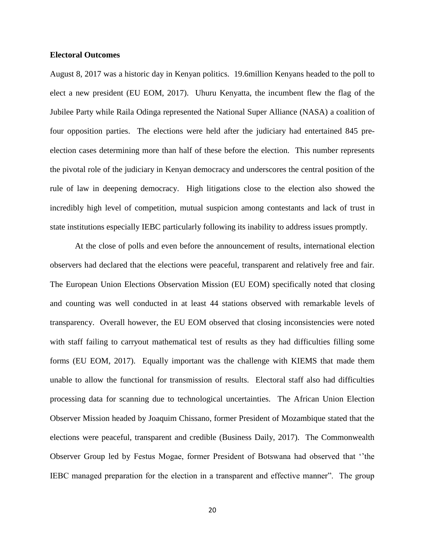### **Electoral Outcomes**

August 8, 2017 was a historic day in Kenyan politics. 19.6million Kenyans headed to the poll to elect a new president (EU EOM, 2017). Uhuru Kenyatta, the incumbent flew the flag of the Jubilee Party while Raila Odinga represented the National Super Alliance (NASA) a coalition of four opposition parties. The elections were held after the judiciary had entertained 845 preelection cases determining more than half of these before the election. This number represents the pivotal role of the judiciary in Kenyan democracy and underscores the central position of the rule of law in deepening democracy. High litigations close to the election also showed the incredibly high level of competition, mutual suspicion among contestants and lack of trust in state institutions especially IEBC particularly following its inability to address issues promptly.

At the close of polls and even before the announcement of results, international election observers had declared that the elections were peaceful, transparent and relatively free and fair. The European Union Elections Observation Mission (EU EOM) specifically noted that closing and counting was well conducted in at least 44 stations observed with remarkable levels of transparency. Overall however, the EU EOM observed that closing inconsistencies were noted with staff failing to carryout mathematical test of results as they had difficulties filling some forms (EU EOM, 2017). Equally important was the challenge with KIEMS that made them unable to allow the functional for transmission of results. Electoral staff also had difficulties processing data for scanning due to technological uncertainties. The African Union Election Observer Mission headed by Joaquim Chissano, former President of Mozambique stated that the elections were peaceful, transparent and credible (Business Daily, 2017). The Commonwealth Observer Group led by Festus Mogae, former President of Botswana had observed that ""the IEBC managed preparation for the election in a transparent and effective manner". The group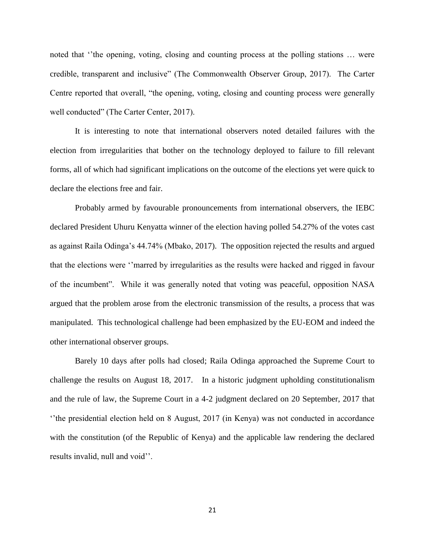noted that "the opening, voting, closing and counting process at the polling stations ... were credible, transparent and inclusive" (The Commonwealth Observer Group, 2017). The Carter Centre reported that overall, "the opening, voting, closing and counting process were generally well conducted" (The Carter Center, 2017).

It is interesting to note that international observers noted detailed failures with the election from irregularities that bother on the technology deployed to failure to fill relevant forms, all of which had significant implications on the outcome of the elections yet were quick to declare the elections free and fair.

Probably armed by favourable pronouncements from international observers, the IEBC declared President Uhuru Kenyatta winner of the election having polled 54.27% of the votes cast as against Raila Odinga"s 44.74% (Mbako, 2017). The opposition rejected the results and argued that the elections were ""marred by irregularities as the results were hacked and rigged in favour of the incumbent". While it was generally noted that voting was peaceful, opposition NASA argued that the problem arose from the electronic transmission of the results, a process that was manipulated. This technological challenge had been emphasized by the EU-EOM and indeed the other international observer groups.

Barely 10 days after polls had closed; Raila Odinga approached the Supreme Court to challenge the results on August 18, 2017. In a historic judgment upholding constitutionalism and the rule of law, the Supreme Court in a 4-2 judgment declared on 20 September, 2017 that "the presidential election held on 8 August, 2017 (in Kenya) was not conducted in accordance with the constitution (of the Republic of Kenya) and the applicable law rendering the declared results invalid, null and void".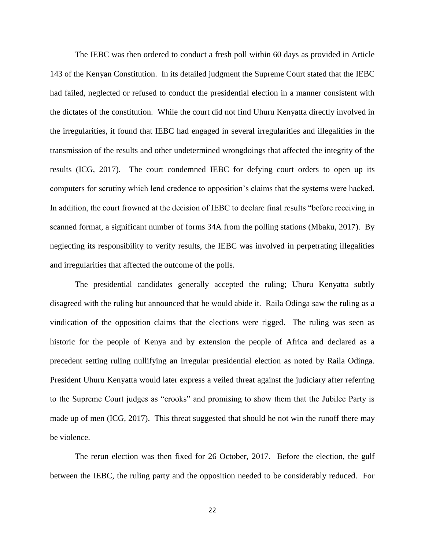The IEBC was then ordered to conduct a fresh poll within 60 days as provided in Article 143 of the Kenyan Constitution. In its detailed judgment the Supreme Court stated that the IEBC had failed, neglected or refused to conduct the presidential election in a manner consistent with the dictates of the constitution. While the court did not find Uhuru Kenyatta directly involved in the irregularities, it found that IEBC had engaged in several irregularities and illegalities in the transmission of the results and other undetermined wrongdoings that affected the integrity of the results (ICG, 2017). The court condemned IEBC for defying court orders to open up its computers for scrutiny which lend credence to opposition"s claims that the systems were hacked. In addition, the court frowned at the decision of IEBC to declare final results "before receiving in scanned format, a significant number of forms 34A from the polling stations (Mbaku, 2017). By neglecting its responsibility to verify results, the IEBC was involved in perpetrating illegalities and irregularities that affected the outcome of the polls.

The presidential candidates generally accepted the ruling; Uhuru Kenyatta subtly disagreed with the ruling but announced that he would abide it. Raila Odinga saw the ruling as a vindication of the opposition claims that the elections were rigged. The ruling was seen as historic for the people of Kenya and by extension the people of Africa and declared as a precedent setting ruling nullifying an irregular presidential election as noted by Raila Odinga. President Uhuru Kenyatta would later express a veiled threat against the judiciary after referring to the Supreme Court judges as "crooks" and promising to show them that the Jubilee Party is made up of men (ICG, 2017). This threat suggested that should he not win the runoff there may be violence.

The rerun election was then fixed for 26 October, 2017. Before the election, the gulf between the IEBC, the ruling party and the opposition needed to be considerably reduced. For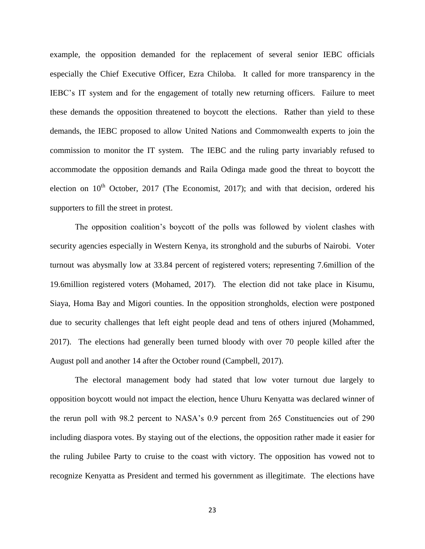example, the opposition demanded for the replacement of several senior IEBC officials especially the Chief Executive Officer, Ezra Chiloba. It called for more transparency in the IEBC"s IT system and for the engagement of totally new returning officers. Failure to meet these demands the opposition threatened to boycott the elections. Rather than yield to these demands, the IEBC proposed to allow United Nations and Commonwealth experts to join the commission to monitor the IT system. The IEBC and the ruling party invariably refused to accommodate the opposition demands and Raila Odinga made good the threat to boycott the election on  $10<sup>th</sup>$  October, 2017 (The Economist, 2017); and with that decision, ordered his supporters to fill the street in protest.

The opposition coalition"s boycott of the polls was followed by violent clashes with security agencies especially in Western Kenya, its stronghold and the suburbs of Nairobi. Voter turnout was abysmally low at 33.84 percent of registered voters; representing 7.6million of the 19.6million registered voters (Mohamed, 2017). The election did not take place in Kisumu, Siaya, Homa Bay and Migori counties. In the opposition strongholds, election were postponed due to security challenges that left eight people dead and tens of others injured (Mohammed, 2017). The elections had generally been turned bloody with over 70 people killed after the August poll and another 14 after the October round (Campbell, 2017).

The electoral management body had stated that low voter turnout due largely to opposition boycott would not impact the election, hence Uhuru Kenyatta was declared winner of the rerun poll with 98.2 percent to NASA"s 0.9 percent from 265 Constituencies out of 290 including diaspora votes. By staying out of the elections, the opposition rather made it easier for the ruling Jubilee Party to cruise to the coast with victory. The opposition has vowed not to recognize Kenyatta as President and termed his government as illegitimate. The elections have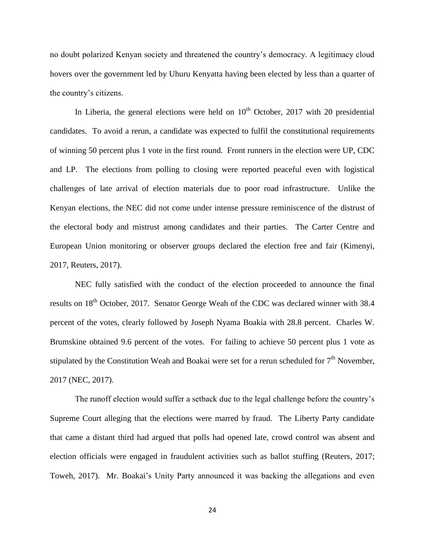no doubt polarized Kenyan society and threatened the country"s democracy. A legitimacy cloud hovers over the government led by Uhuru Kenyatta having been elected by less than a quarter of the country"s citizens.

In Liberia, the general elections were held on  $10<sup>th</sup>$  October, 2017 with 20 presidential candidates. To avoid a rerun, a candidate was expected to fulfil the constitutional requirements of winning 50 percent plus 1 vote in the first round. Front runners in the election were UP, CDC and LP. The elections from polling to closing were reported peaceful even with logistical challenges of late arrival of election materials due to poor road infrastructure. Unlike the Kenyan elections, the NEC did not come under intense pressure reminiscence of the distrust of the electoral body and mistrust among candidates and their parties. The Carter Centre and European Union monitoring or observer groups declared the election free and fair (Kimenyi, 2017, Reuters, 2017).

NEC fully satisfied with the conduct of the election proceeded to announce the final results on 18<sup>th</sup> October, 2017. Senator George Weah of the CDC was declared winner with 38.4 percent of the votes, clearly followed by Joseph Nyama Boakia with 28.8 percent. Charles W. Brumskine obtained 9.6 percent of the votes. For failing to achieve 50 percent plus 1 vote as stipulated by the Constitution Weah and Boakai were set for a rerun scheduled for  $7<sup>th</sup>$  November, 2017 (NEC, 2017).

The runoff election would suffer a setback due to the legal challenge before the country"s Supreme Court alleging that the elections were marred by fraud. The Liberty Party candidate that came a distant third had argued that polls had opened late, crowd control was absent and election officials were engaged in fraudulent activities such as ballot stuffing (Reuters, 2017; Toweh, 2017). Mr. Boakai's Unity Party announced it was backing the allegations and even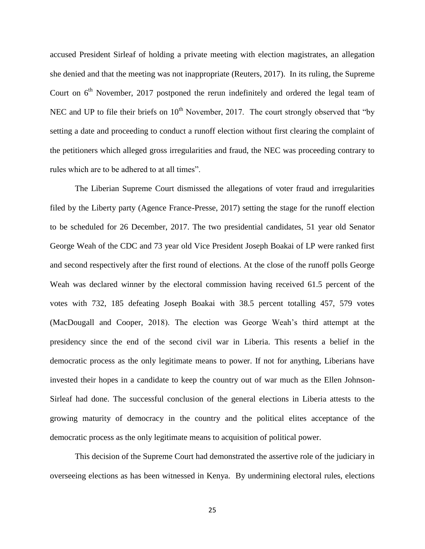accused President Sirleaf of holding a private meeting with election magistrates, an allegation she denied and that the meeting was not inappropriate (Reuters, 2017). In its ruling, the Supreme Court on  $6<sup>th</sup>$  November, 2017 postponed the rerun indefinitely and ordered the legal team of NEC and UP to file their briefs on  $10^{th}$  November, 2017. The court strongly observed that "by setting a date and proceeding to conduct a runoff election without first clearing the complaint of the petitioners which alleged gross irregularities and fraud, the NEC was proceeding contrary to rules which are to be adhered to at all times".

The Liberian Supreme Court dismissed the allegations of voter fraud and irregularities filed by the Liberty party (Agence France-Presse, 2017) setting the stage for the runoff election to be scheduled for 26 December, 2017. The two presidential candidates, 51 year old Senator George Weah of the CDC and 73 year old Vice President Joseph Boakai of LP were ranked first and second respectively after the first round of elections. At the close of the runoff polls George Weah was declared winner by the electoral commission having received 61.5 percent of the votes with 732, 185 defeating Joseph Boakai with 38.5 percent totalling 457, 579 votes (MacDougall and Cooper, 2018). The election was George Weah"s third attempt at the presidency since the end of the second civil war in Liberia. This resents a belief in the democratic process as the only legitimate means to power. If not for anything, Liberians have invested their hopes in a candidate to keep the country out of war much as the Ellen Johnson-Sirleaf had done. The successful conclusion of the general elections in Liberia attests to the growing maturity of democracy in the country and the political elites acceptance of the democratic process as the only legitimate means to acquisition of political power.

This decision of the Supreme Court had demonstrated the assertive role of the judiciary in overseeing elections as has been witnessed in Kenya. By undermining electoral rules, elections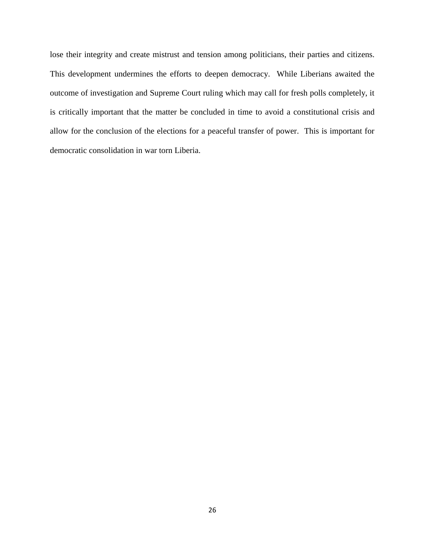lose their integrity and create mistrust and tension among politicians, their parties and citizens. This development undermines the efforts to deepen democracy. While Liberians awaited the outcome of investigation and Supreme Court ruling which may call for fresh polls completely, it is critically important that the matter be concluded in time to avoid a constitutional crisis and allow for the conclusion of the elections for a peaceful transfer of power. This is important for democratic consolidation in war torn Liberia.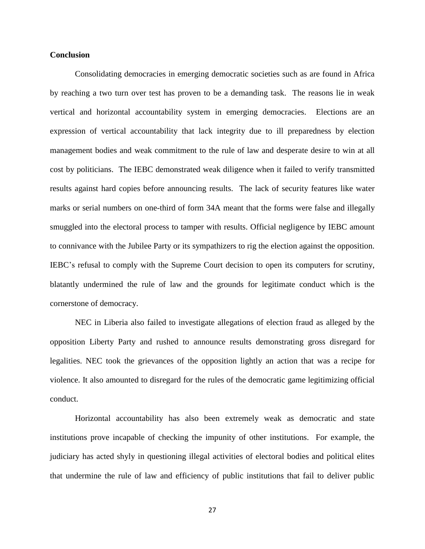### **Conclusion**

Consolidating democracies in emerging democratic societies such as are found in Africa by reaching a two turn over test has proven to be a demanding task. The reasons lie in weak vertical and horizontal accountability system in emerging democracies. Elections are an expression of vertical accountability that lack integrity due to ill preparedness by election management bodies and weak commitment to the rule of law and desperate desire to win at all cost by politicians. The IEBC demonstrated weak diligence when it failed to verify transmitted results against hard copies before announcing results. The lack of security features like water marks or serial numbers on one-third of form 34A meant that the forms were false and illegally smuggled into the electoral process to tamper with results. Official negligence by IEBC amount to connivance with the Jubilee Party or its sympathizers to rig the election against the opposition. IEBC"s refusal to comply with the Supreme Court decision to open its computers for scrutiny, blatantly undermined the rule of law and the grounds for legitimate conduct which is the cornerstone of democracy.

NEC in Liberia also failed to investigate allegations of election fraud as alleged by the opposition Liberty Party and rushed to announce results demonstrating gross disregard for legalities. NEC took the grievances of the opposition lightly an action that was a recipe for violence. It also amounted to disregard for the rules of the democratic game legitimizing official conduct.

Horizontal accountability has also been extremely weak as democratic and state institutions prove incapable of checking the impunity of other institutions. For example, the judiciary has acted shyly in questioning illegal activities of electoral bodies and political elites that undermine the rule of law and efficiency of public institutions that fail to deliver public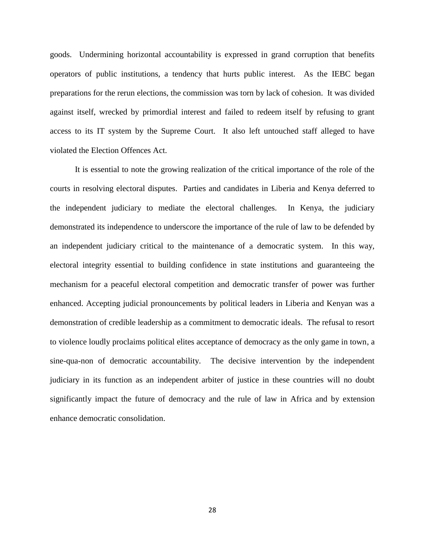goods. Undermining horizontal accountability is expressed in grand corruption that benefits operators of public institutions, a tendency that hurts public interest. As the IEBC began preparations for the rerun elections, the commission was torn by lack of cohesion. It was divided against itself, wrecked by primordial interest and failed to redeem itself by refusing to grant access to its IT system by the Supreme Court. It also left untouched staff alleged to have violated the Election Offences Act.

It is essential to note the growing realization of the critical importance of the role of the courts in resolving electoral disputes. Parties and candidates in Liberia and Kenya deferred to the independent judiciary to mediate the electoral challenges. In Kenya, the judiciary demonstrated its independence to underscore the importance of the rule of law to be defended by an independent judiciary critical to the maintenance of a democratic system. In this way, electoral integrity essential to building confidence in state institutions and guaranteeing the mechanism for a peaceful electoral competition and democratic transfer of power was further enhanced. Accepting judicial pronouncements by political leaders in Liberia and Kenyan was a demonstration of credible leadership as a commitment to democratic ideals. The refusal to resort to violence loudly proclaims political elites acceptance of democracy as the only game in town, a sine-qua-non of democratic accountability. The decisive intervention by the independent judiciary in its function as an independent arbiter of justice in these countries will no doubt significantly impact the future of democracy and the rule of law in Africa and by extension enhance democratic consolidation.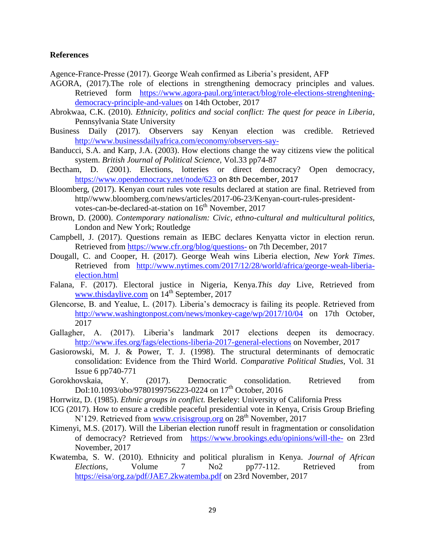# **References**

Agence-France-Presse (2017). George Weah confirmed as Liberia"s president, AFP

- AGORA, (2017).The role of elections in strengthening democracy principles and values. Retrieved form [https://www.agora-paul.org/interact/blog/role-elections-strenghtening](https://www.agora-paul.org/interact/blog/role-elections-strenghtening-democracy-principle-and-values)[democracy-principle-and-values](https://www.agora-paul.org/interact/blog/role-elections-strenghtening-democracy-principle-and-values) on 14th October, 2017
- Abrokwaa, C.K. (2010). *Ethnicity, politics and social conflict: The quest for peace in Liberia*, Pennsylvania State University
- Business Daily (2017). Observers say Kenyan election was credible. Retrieved <http://www.businessdailyafrica.com/economy/observers-say->
- Banducci, S.A. and Karp, J.A. (2003). How elections change the way citizens view the political system. *British Journal of Political Science,* Vol.33 pp74-87
- Bectham, D. (2001). Elections, lotteries or direct democracy? Open democracy, <https://www.opendemocracy.net/node/623> on 8th December, 2017
- Bloomberg, (2017). Kenyan court rules vote results declared at station are final. Retrieved from http//www.bloomberg.com/news/articles/2017-06-23/Kenyan-court-rules-presidentvotes-can-be-declared-at-station on 16<sup>th</sup> November, 2017
- Brown, D. (2000). *Contemporary nationalism: Civic, ethno-cultural and multicultural politics,*  London and New York; Routledge
- Campbell, J. (2017). Questions remain as IEBC declares Kenyatta victor in election rerun. Retrieved from<https://www.cfr.org/blog/questions-> on 7th December, 2017
- Dougall, C. and Cooper, H. (2017). George Weah wins Liberia election, *New York Times*. Retrieved from [http://www.nytimes.com/2017/12/28/world/africa/george-weah-liberia](http://www.nytimes.com/2017/12/28/world/africa/george-weah-liberia-election.html)[election.html](http://www.nytimes.com/2017/12/28/world/africa/george-weah-liberia-election.html)
- Falana, F. (2017). Electoral justice in Nigeria, Kenya.*This day* Live, Retrieved from [www.thisdaylive.com](http://www.thisdaylive.com/) on 14<sup>th</sup> September, 2017
- Glencorse, B. and Yealue, L. (2017). Liberia's democracy is failing its people. Retrieved from <http://www.washingtonpost.com/news/monkey-cage/wp/2017/10/04> on 17th October, 2017
- Gallagher, A. (2017). Liberia's landmark 2017 elections deepen its democracy. <http://www.ifes.org/fags/elections-liberia-2017-general-elections> on November, 2017
- Gasiorowski, M. J. & Power, T. J. (1998). The structural determinants of democratic consolidation: Evidence from the Third World. *Comparative Political Studies*, Vol. 31 Issue 6 pp740-771
- Gorokhovskaia, Y. (2017). Democratic consolidation. Retrieved from DoI:10.1093/obo/9780199756223-0224 on 17<sup>th</sup> October, 2016
- Horrwitz, D. (1985). *Ethnic groups in conflict.* Berkeley: University of California Press
- ICG (2017). How to ensure a credible peaceful presidential vote in Kenya, Crisis Group Briefing N'129. Retrieved from [www.crisisgroup.org](http://www.crisisgroup.org/) on 28<sup>th</sup> November, 2017
- Kimenyi, M.S. (2017). Will the Liberian election runoff result in fragmentation or consolidation of democracy? Retrieved from <https://www.brookings.edu/opinions/will-the-> on 23rd November, 2017
- Kwatemba, S. W. (2010). Ethnicity and political pluralism in Kenya. *Journal of African Elections,* Volume 7 No2 pp77-112. Retrieved from <https://eisa/org.za/pdf/JAE7.2kwatemba.pdf> on 23rd November, 2017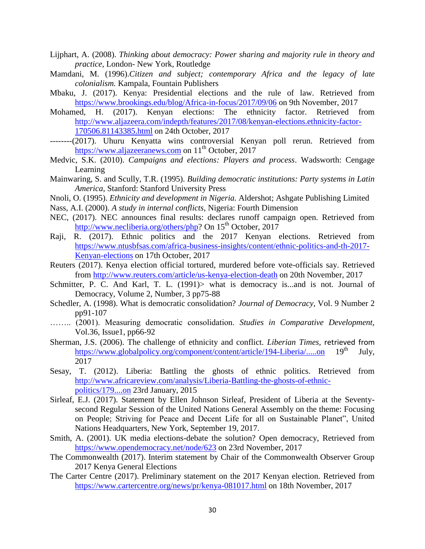- Lijphart, A. (2008). *Thinking about democracy: Power sharing and majority rule in theory and practice,* London- New York, Routledge
- Mamdani, M. (1996).*Citizen and subject; contemporary Africa and the legacy of late colonialism.* Kampala, Fountain Publishers
- Mbaku, J. (2017). Kenya: Presidential elections and the rule of law. Retrieved from <https://www.brookings.edu/blog/Africa-in-focus/2017/09/06> on 9th November, 2017
- Mohamed, H. (2017). Kenyan elections: The ethnicity factor. Retrieved from [http://www.aljazeera.com/indepth/features/2017/08/kenyan-elections.ethnicity-factor-](http://www.aljazeera.com/indepth/features/2017/08/kenyan-elections.ethnicity-factor-170506.81143385.html)[170506.81143385.html](http://www.aljazeera.com/indepth/features/2017/08/kenyan-elections.ethnicity-factor-170506.81143385.html) on 24th October, 2017
- --------(2017). Uhuru Kenyatta wins controversial Kenyan poll rerun. Retrieved from [https://www.aljazeeranews.com](https://www.aljazeeranews.com/) on  $11<sup>th</sup>$  October, 2017
- Medvic, S.K. (2010). *Campaigns and elections: Players and process*. Wadsworth: Cengage Learning
- Mainwaring, S. and Scully, T.R. (1995). *Building democratic institutions: Party systems in Latin America,* Stanford: Stanford University Press
- Nnoli, O. (1995). *Ethnicity and development in Nigeria.* Aldershot; Ashgate Publishing Limited
- Nass, A.I. (2000). *A study in internal conflicts,* Nigeria: Fourth Dimension
- NEC, (2017). NEC announces final results: declares runoff campaign open. Retrieved from [http://www.necliberia.org/others/php?](http://www.necliberia.org/others/php) On 15<sup>th</sup> October, 2017
- Raji, R. (2017). Ethnic politics and the 2017 Kenyan elections. Retrieved from [https://www.ntusbfsas.com/africa-business-insights/content/ethnic-politics-and-th-2017-](https://www.ntusbfsas.com/africa-business-insights/content/ethnic-politics-and-th-2017-Kenyan-elections) [Kenyan-elections](https://www.ntusbfsas.com/africa-business-insights/content/ethnic-politics-and-th-2017-Kenyan-elections) on 17th October, 2017
- Reuters (2017). Kenya election official tortured, murdered before vote-officials say. Retrieved from<http://www.reuters.com/article/us-kenya-election-death> on 20th November, 2017
- Schmitter, P. C. And Karl, T. L. (1991) what is democracy is ... and is not. Journal of Democracy, Volume 2, Number, 3 pp75-88
- Schedler, A. (1998). What is democratic consolidation? *Journal of Democracy,* Vol. 9 Number 2 pp91-107
- …….. (2001). Measuring democratic consolidation. *Studies in Comparative Development,* Vol.36, Issue1, pp66-92
- Sherman, J.S. (2006). The challenge of ethnicity and conflict. *Liberian Times*, retrieved from<br>https://www.globalpolicy.org/component/content/article/194-Liberia/.....on 19<sup>th</sup> July. <https://www.globalpolicy.org/component/content/article/194-Liberia/.....on> 19<sup>th</sup> July, 2017
- Sesay, T. (2012). Liberia: Battling the ghosts of ethnic politics. Retrieved from [http://www.africareview.com/analysis/Liberia-Battling-the-ghosts-of-ethnic](http://www.africareview.com/analysis/Liberia-Battling-the-ghosts-of-ethnic-politics/179....on)[politics/179....on](http://www.africareview.com/analysis/Liberia-Battling-the-ghosts-of-ethnic-politics/179....on) 23rd January, 2015
- Sirleaf, E.J. (2017). Statement by Ellen Johnson Sirleaf, President of Liberia at the Seventysecond Regular Session of the United Nations General Assembly on the theme: Focusing on People; Striving for Peace and Decent Life for all on Sustainable Planet", United Nations Headquarters, New York, September 19, 2017.
- Smith, A. (2001). UK media elections-debate the solution? Open democracy, Retrieved from <https://www.opendemocracy.net/node/623> on 23rd November, 2017
- The Commonwealth (2017). Interim statement by Chair of the Commonwealth Observer Group 2017 Kenya General Elections
- The Carter Centre (2017). Preliminary statement on the 2017 Kenyan election. Retrieved from <https://www.cartercentre.org/news/pr/kenya-081017.html> on 18th November, 2017